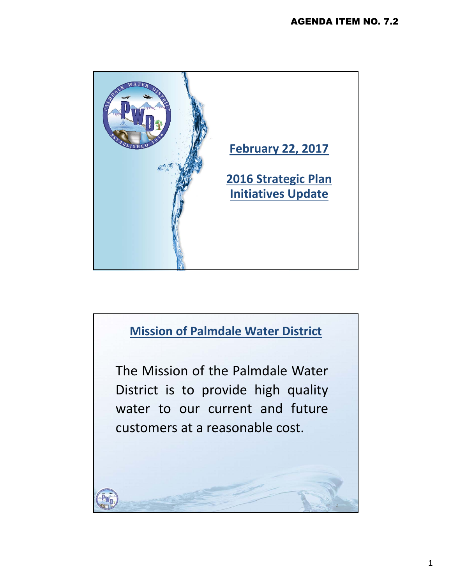

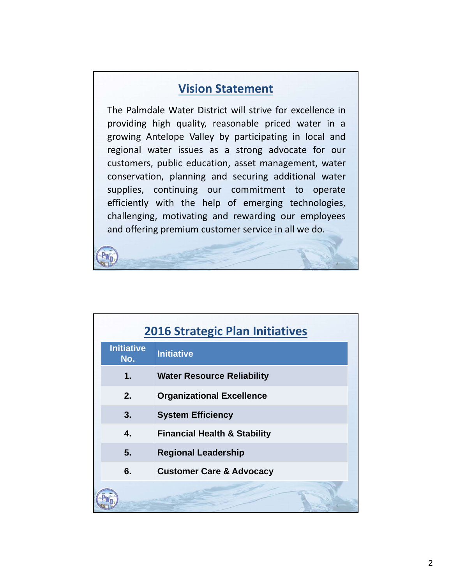## **Vision Statement**

The Palmdale Water District will strive for excellence in providing high quality, reasonable priced water in a growing Antelope Valley by participating in local and regional water issues as a strong advocate for our customers, public education, asset management, water conservation, planning and securing additional water supplies, continuing our commitment to operate efficiently with the help of emerging technologies, challenging, motivating and rewarding our employees and offering premium customer service in all we do.

| <b>2016 Strategic Plan Initiatives</b> |                                         |
|----------------------------------------|-----------------------------------------|
| <b>Initiative</b><br>No.               | <b>Initiative</b>                       |
| 1.                                     | <b>Water Resource Reliability</b>       |
| 2.                                     | <b>Organizational Excellence</b>        |
| 3.                                     | <b>System Efficiency</b>                |
| 4.                                     | <b>Financial Health &amp; Stability</b> |
| 5.<br><b>Regional Leadership</b>       |                                         |
| 6.                                     | <b>Customer Care &amp; Advocacy</b>     |
|                                        |                                         |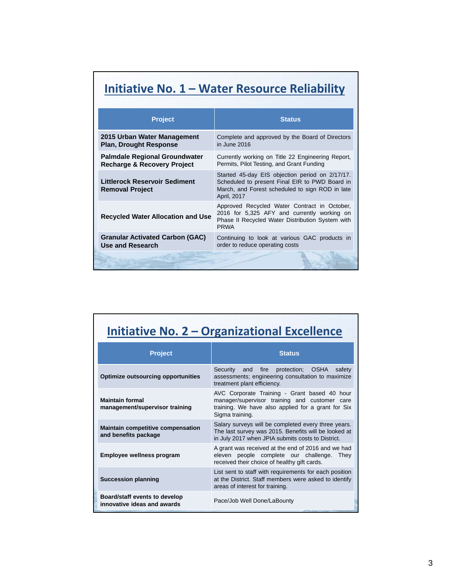## **Initiative No. 1 – Water Resource Reliability**

| <b>Project</b>                                                                 | <b>Status</b>                                                                                                                                                       |
|--------------------------------------------------------------------------------|---------------------------------------------------------------------------------------------------------------------------------------------------------------------|
| 2015 Urban Water Management<br><b>Plan, Drought Response</b>                   | Complete and approved by the Board of Directors<br>in June 2016                                                                                                     |
| <b>Palmdale Regional Groundwater</b><br><b>Recharge &amp; Recovery Project</b> | Currently working on Title 22 Engineering Report,<br>Permits, Pilot Testing, and Grant Funding                                                                      |
| Littlerock Reservoir Sediment<br><b>Removal Project</b>                        | Started 45-day EIS objection period on 2/17/17.<br>Scheduled to present Final EIR to PWD Board in<br>March, and Forest scheduled to sign ROD in late<br>April, 2017 |
| <b>Recycled Water Allocation and Use</b>                                       | Approved Recycled Water Contract in October,<br>2016 for 5,325 AFY and currently working on<br>Phase II Recycled Water Distribution System with<br><b>PRWA</b>      |
| <b>Granular Activated Carbon (GAC)</b><br>Use and Research                     | Continuing to look at various GAC products in<br>order to reduce operating costs                                                                                    |
|                                                                                |                                                                                                                                                                     |

| Initiative No. 2 – Organizational Excellence |  |
|----------------------------------------------|--|
|                                              |  |

| <b>Project</b>                                                   | <b>Status</b>                                                                                                                                                          |
|------------------------------------------------------------------|------------------------------------------------------------------------------------------------------------------------------------------------------------------------|
| <b>Optimize outsourcing opportunities</b>                        | Security and fire protection; OSHA<br>safety<br>assessments; engineering consultation to maximize<br>treatment plant efficiency.                                       |
| <b>Maintain formal</b><br>management/supervisor training         | AVC Corporate Training - Grant based 40 hour<br>manager/supervisor training and customer care<br>training. We have also applied for a grant for Six<br>Sigma training. |
| <b>Maintain competitive compensation</b><br>and benefits package | Salary surveys will be completed every three years.<br>The last survey was 2015. Benefits will be looked at<br>in July 2017 when JPIA submits costs to District.       |
| Employee wellness program                                        | A grant was received at the end of 2016 and we had<br>eleven people complete our challenge. They<br>received their choice of healthy gift cards.                       |
| <b>Succession planning</b>                                       | List sent to staff with requirements for each position<br>at the District. Staff members were asked to identify<br>areas of interest for training.                     |
| Board/staff events to develop<br>innovative ideas and awards     | Pace/Job Well Done/LaBounty                                                                                                                                            |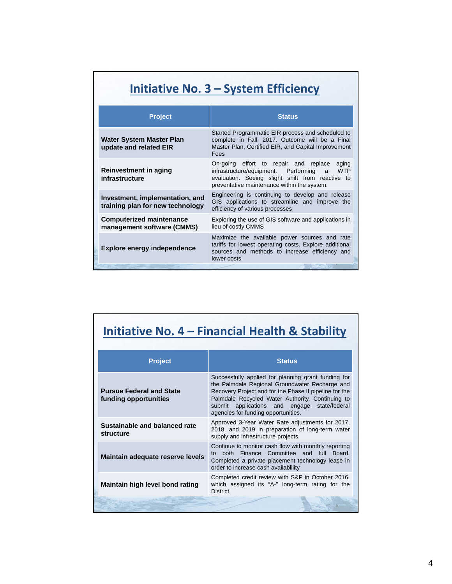| Initiative No. 3 – System Efficiency                                |                                                                                                                                                                                                                 |
|---------------------------------------------------------------------|-----------------------------------------------------------------------------------------------------------------------------------------------------------------------------------------------------------------|
| <b>Project</b>                                                      | <b>Status</b>                                                                                                                                                                                                   |
| <b>Water System Master Plan</b><br>update and related EIR           | Started Programmatic EIR process and scheduled to<br>complete in Fall, 2017. Outcome will be a Final<br>Master Plan, Certified EIR, and Capital Improvement<br>Fees                                             |
| Reinvestment in aging<br>infrastructure                             | On-going effort to repair and<br>replace<br>aging<br>infrastructure/equipment. Performing<br><b>WTP</b><br>a<br>evaluation. Seeing slight shift from reactive to<br>preventative maintenance within the system. |
| Investment, implementation, and<br>training plan for new technology | Engineering is continuing to develop and release<br>GIS applications to streamline and improve the<br>efficiency of various processes                                                                           |
| <b>Computerized maintenance</b><br>management software (CMMS)       | Exploring the use of GIS software and applications in<br>lieu of costly CMMS                                                                                                                                    |
| <b>Explore energy independence</b>                                  | Maximize the available power sources and rate<br>tariffs for lowest operating costs. Explore additional<br>sources and methods to increase efficiency and<br>lower costs.                                       |

## **Initiative No. 4 – Financial Health & Stability**

| <b>Project</b>                                           | <b>Status</b>                                                                                                                                                                                                                                                                                                    |
|----------------------------------------------------------|------------------------------------------------------------------------------------------------------------------------------------------------------------------------------------------------------------------------------------------------------------------------------------------------------------------|
| <b>Pursue Federal and State</b><br>funding opportunities | Successfully applied for planning grant funding for<br>the Palmdale Regional Groundwater Recharge and<br>Recovery Project and for the Phase II pipeline for the<br>Palmdale Recycled Water Authority. Continuing to<br>applications and engage<br>state/federal<br>submit<br>agencies for funding opportunities. |
| Sustainable and balanced rate<br>structure               | Approved 3-Year Water Rate adjustments for 2017,<br>2018, and 2019 in preparation of long-term water<br>supply and infrastructure projects.                                                                                                                                                                      |
| Maintain adequate reserve levels                         | Continue to monitor cash flow with monthly reporting<br>both Finance Committee and full Board.<br>t∩<br>Completed a private placement technology lease in<br>order to increase cash availability                                                                                                                 |
| Maintain high level bond rating                          | Completed credit review with S&P in October 2016,<br>which assigned its "A-" long-term rating for the<br>District.                                                                                                                                                                                               |
|                                                          |                                                                                                                                                                                                                                                                                                                  |